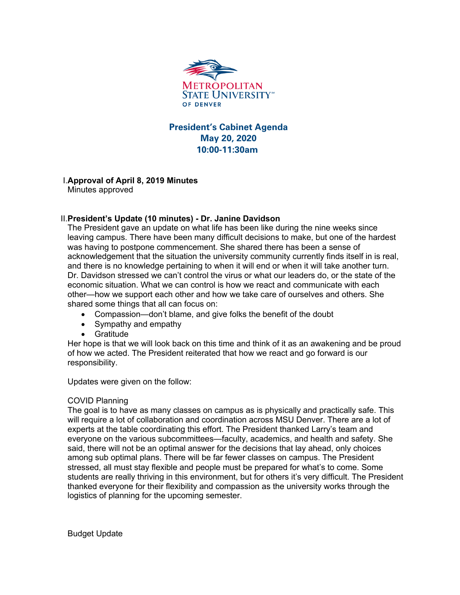

## **President's Cabinet Agenda May 20, 2020 10:00-11:30am**

# I.**Approval of April 8, 2019 Minutes**

Minutes approved

### II.**President's Update (10 minutes) - Dr. Janine Davidson**

The President gave an update on what life has been like during the nine weeks since leaving campus. There have been many difficult decisions to make, but one of the hardest was having to postpone commencement. She shared there has been a sense of acknowledgement that the situation the university community currently finds itself in is real, and there is no knowledge pertaining to when it will end or when it will take another turn. Dr. Davidson stressed we can't control the virus or what our leaders do, or the state of the economic situation. What we can control is how we react and communicate with each other—how we support each other and how we take care of ourselves and others. She shared some things that all can focus on:

- Compassion—don't blame, and give folks the benefit of the doubt
- Sympathy and empathy
- **Gratitude**

Her hope is that we will look back on this time and think of it as an awakening and be proud of how we acted. The President reiterated that how we react and go forward is our responsibility.

Updates were given on the follow:

#### COVID Planning

The goal is to have as many classes on campus as is physically and practically safe. This will require a lot of collaboration and coordination across MSU Denver. There are a lot of experts at the table coordinating this effort. The President thanked Larry's team and everyone on the various subcommittees—faculty, academics, and health and safety. She said, there will not be an optimal answer for the decisions that lay ahead, only choices among sub optimal plans. There will be far fewer classes on campus. The President stressed, all must stay flexible and people must be prepared for what's to come. Some students are really thriving in this environment, but for others it's very difficult. The President thanked everyone for their flexibility and compassion as the university works through the logistics of planning for the upcoming semester.

Budget Update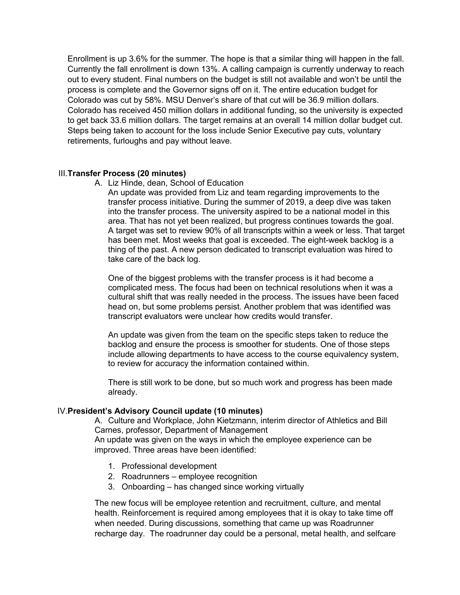Enrollment is up 3.6% for the summer. The hope is that a similar thing will happen in the fall. Currently the fall enrollment is down 13%. A calling campaign is currently underway to reach out to every student. Final numbers on the budget is still not available and won't be until the process is complete and the Governor signs off on it. The entire education budget for Colorado was cut by 58%. MSU Denver's share of that cut will be 36.9 million dollars. Colorado has received 450 million dollars in additional funding, so the university is expected to get back 33.6 million dollars. The target remains at an overall 14 million dollar budget cut. Steps being taken to account for the loss include Senior Executive pay cuts, voluntary retirements, furloughs and pay without leave.

#### III.**Transfer Process (20 minutes)**

A. Liz Hinde, dean, School of Education

An update was provided from Liz and team regarding improvements to the transfer process initiative. During the summer of 2019, a deep dive was taken into the transfer process. The university aspired to be a national model in this area. That has not yet been realized, but progress continues towards the goal. A target was set to review 90% of all transcripts within a week or less. That target has been met. Most weeks that goal is exceeded. The eight-week backlog is a thing of the past. A new person dedicated to transcript evaluation was hired to take care of the back log.

One of the biggest problems with the transfer process is it had become a complicated mess. The focus had been on technical resolutions when it was a cultural shift that was really needed in the process. The issues have been faced head on, but some problems persist. Another problem that was identified was transcript evaluators were unclear how credits would transfer.

An update was given from the team on the specific steps taken to reduce the backlog and ensure the process is smoother for students. One of those steps include allowing departments to have access to the course equivalency system, to review for accuracy the information contained within.

There is still work to be done, but so much work and progress has been made already.

#### IV.**President's Advisory Council update (10 minutes)**

A. Culture and Workplace, John Kietzmann, interim director of Athletics and Bill Carnes, professor, Department of Management

An update was given on the ways in which the employee experience can be improved. Three areas have been identified:

- 1. Professional development
- 2. Roadrunners employee recognition
- 3. Onboarding has changed since working virtually

The new focus will be employee retention and recruitment, culture, and mental health. Reinforcement is required among employees that it is okay to take time off when needed. During discussions, something that came up was Roadrunner recharge day. The roadrunner day could be a personal, metal health, and selfcare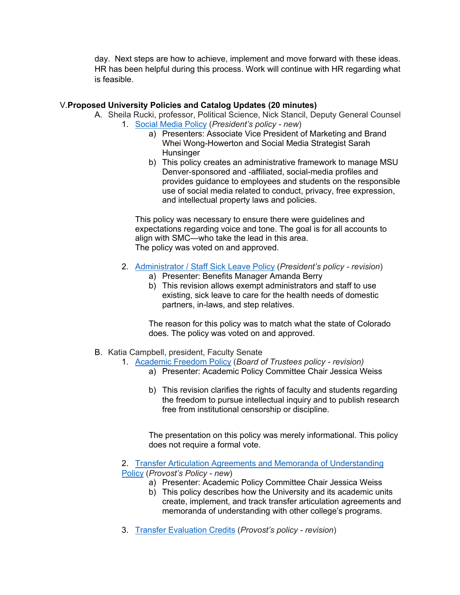day. Next steps are how to achieve, implement and move forward with these ideas. HR has been helpful during this process. Work will continue with HR regarding what is feasible.

#### V.**Proposed University Policies and Catalog Updates (20 minutes)**

- A. Sheila Rucki, professor, Political Science, Nick Stancil, Deputy General Counsel 1. Social Media Policy (*President's policy - new*)
	- a) Presenters: Associate Vice President of Marketing and Brand Whei Wong-Howerton and Social Media Strategist Sarah **Hunsinger**
	- b) This policy creates an administrative framework to manage MSU Denver-sponsored and -affiliated, social-media profiles and provides guidance to employees and students on the responsible use of social media related to conduct, privacy, free expression, and intellectual property laws and policies.

This policy was necessary to ensure there were guidelines and expectations regarding voice and tone. The goal is for all accounts to align with SMC—who take the lead in this area. The policy was voted on and approved.

- 2. Administrator / Staff Sick Leave Policy (*President's policy - revision*)
	- a) Presenter: Benefits Manager Amanda Berry
	- b) This revision allows exempt administrators and staff to use existing, sick leave to care for the health needs of domestic partners, in-laws, and step relatives.

The reason for this policy was to match what the state of Colorado does. The policy was voted on and approved.

- B. Katia Campbell, president, Faculty Senate
	- 1. Academic Freedom Policy (*Board of Trustees policy - revision)*
		- a) Presenter: Academic Policy Committee Chair Jessica Weiss
		- b) This revision clarifies the rights of faculty and students regarding the freedom to pursue intellectual inquiry and to publish research free from institutional censorship or discipline.

The presentation on this policy was merely informational. This policy does not require a formal vote.

2. Transfer Articulation Agreements and Memoranda of Understanding Policy (*Provost's Policy - new*)

- a) Presenter: Academic Policy Committee Chair Jessica Weiss
- b) This policy describes how the University and its academic units create, implement, and track transfer articulation agreements and memoranda of understanding with other college's programs.
- 3. Transfer Evaluation Credits (*Provost's policy - revision*)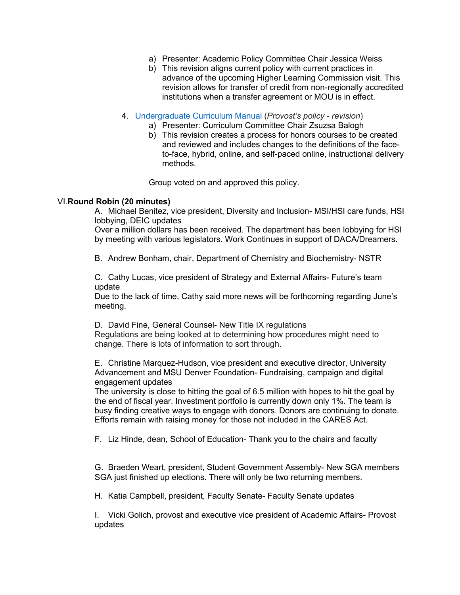- a) Presenter: Academic Policy Committee Chair Jessica Weiss
- b) This revision aligns current policy with current practices in advance of the upcoming Higher Learning Commission visit. This revision allows for transfer of credit from non-regionally accredited institutions when a transfer agreement or MOU is in effect.
- 4. Undergraduate Curriculum Manual (*Provost's policy - revision*)
	- a) Presenter: Curriculum Committee Chair Zsuzsa Balogh
	- b) This revision creates a process for honors courses to be created and reviewed and includes changes to the definitions of the faceto-face, hybrid, online, and self-paced online, instructional delivery methods.

Group voted on and approved this policy.

#### VI.**Round Robin (20 minutes)**

A. Michael Benitez, vice president, Diversity and Inclusion- MSI/HSI care funds, HSI lobbying, DEIC updates

Over a million dollars has been received. The department has been lobbying for HSI by meeting with various legislators. Work Continues in support of DACA/Dreamers.

B. Andrew Bonham, chair, Department of Chemistry and Biochemistry- NSTR

C. Cathy Lucas, vice president of Strategy and External Affairs- Future's team update

Due to the lack of time, Cathy said more news will be forthcoming regarding June's meeting.

D. David Fine, General Counsel- New Title IX regulations Regulations are being looked at to determining how procedures might need to change. There is lots of information to sort through.

E. Christine Marquez-Hudson, vice president and executive director, University Advancement and MSU Denver Foundation- Fundraising, campaign and digital engagement updates

The university is close to hitting the goal of 6.5 million with hopes to hit the goal by the end of fiscal year. Investment portfolio is currently down only 1%. The team is busy finding creative ways to engage with donors. Donors are continuing to donate. Efforts remain with raising money for those not included in the CARES Act.

F. Liz Hinde, dean, School of Education- Thank you to the chairs and faculty

G. Braeden Weart, president, Student Government Assembly- New SGA members SGA just finished up elections. There will only be two returning members.

H. Katia Campbell, president, Faculty Senate- Faculty Senate updates

I. Vicki Golich, provost and executive vice president of Academic Affairs- Provost updates